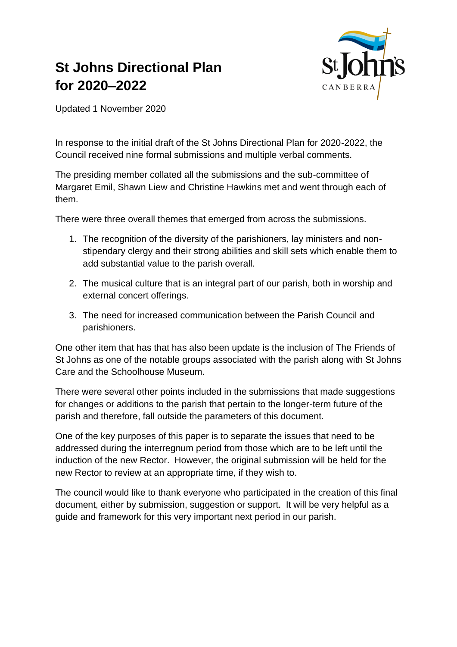# **St Johns Directional Plan for 2020–2022**



Updated 1 November 2020

In response to the initial draft of the St Johns Directional Plan for 2020-2022, the Council received nine formal submissions and multiple verbal comments.

The presiding member collated all the submissions and the sub-committee of Margaret Emil, Shawn Liew and Christine Hawkins met and went through each of them.

There were three overall themes that emerged from across the submissions.

- 1. The recognition of the diversity of the parishioners, lay ministers and nonstipendary clergy and their strong abilities and skill sets which enable them to add substantial value to the parish overall.
- 2. The musical culture that is an integral part of our parish, both in worship and external concert offerings.
- 3. The need for increased communication between the Parish Council and parishioners.

One other item that has that has also been update is the inclusion of The Friends of St Johns as one of the notable groups associated with the parish along with St Johns Care and the Schoolhouse Museum.

There were several other points included in the submissions that made suggestions for changes or additions to the parish that pertain to the longer-term future of the parish and therefore, fall outside the parameters of this document.

One of the key purposes of this paper is to separate the issues that need to be addressed during the interregnum period from those which are to be left until the induction of the new Rector. However, the original submission will be held for the new Rector to review at an appropriate time, if they wish to.

The council would like to thank everyone who participated in the creation of this final document, either by submission, suggestion or support. It will be very helpful as a guide and framework for this very important next period in our parish.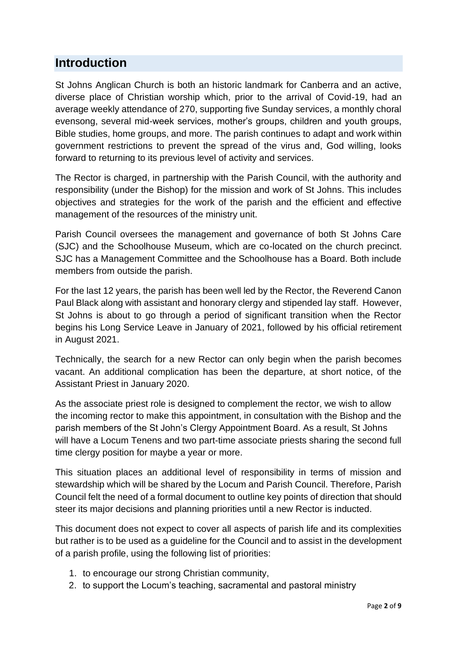## **Introduction**

St Johns Anglican Church is both an historic landmark for Canberra and an active, diverse place of Christian worship which, prior to the arrival of Covid-19, had an average weekly attendance of 270, supporting five Sunday services, a monthly choral evensong, several mid-week services, mother's groups, children and youth groups, Bible studies, home groups, and more. The parish continues to adapt and work within government restrictions to prevent the spread of the virus and, God willing, looks forward to returning to its previous level of activity and services.

The Rector is charged, in partnership with the Parish Council, with the authority and responsibility (under the Bishop) for the mission and work of St Johns. This includes objectives and strategies for the work of the parish and the efficient and effective management of the resources of the ministry unit.

Parish Council oversees the management and governance of both St Johns Care (SJC) and the Schoolhouse Museum, which are co-located on the church precinct. SJC has a Management Committee and the Schoolhouse has a Board. Both include members from outside the parish.

For the last 12 years, the parish has been well led by the Rector, the Reverend Canon Paul Black along with assistant and honorary clergy and stipended lay staff. However, St Johns is about to go through a period of significant transition when the Rector begins his Long Service Leave in January of 2021, followed by his official retirement in August 2021.

Technically, the search for a new Rector can only begin when the parish becomes vacant. An additional complication has been the departure, at short notice, of the Assistant Priest in January 2020.

As the associate priest role is designed to complement the rector, we wish to allow the incoming rector to make this appointment, in consultation with the Bishop and the parish members of the St John's Clergy Appointment Board. As a result, St Johns will have a Locum Tenens and two part-time associate priests sharing the second full time clergy position for maybe a year or more.

This situation places an additional level of responsibility in terms of mission and stewardship which will be shared by the Locum and Parish Council. Therefore, Parish Council felt the need of a formal document to outline key points of direction that should steer its major decisions and planning priorities until a new Rector is inducted.

This document does not expect to cover all aspects of parish life and its complexities but rather is to be used as a guideline for the Council and to assist in the development of a parish profile, using the following list of priorities:

- 1. to encourage our strong Christian community,
- 2. to support the Locum's teaching, sacramental and pastoral ministry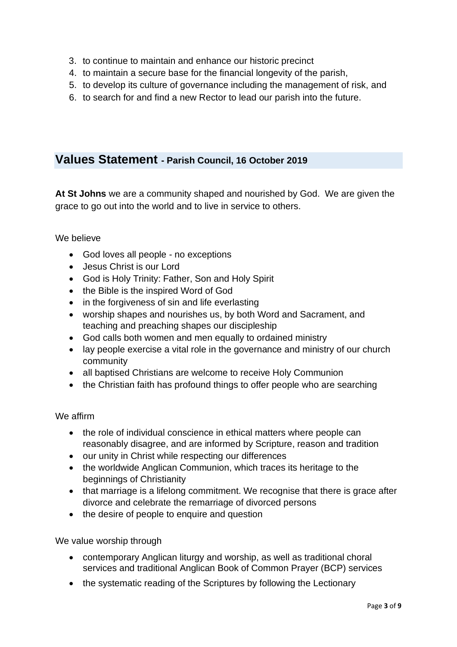- 3. to continue to maintain and enhance our historic precinct
- 4. to maintain a secure base for the financial longevity of the parish,
- 5. to develop its culture of governance including the management of risk, and
- 6. to search for and find a new Rector to lead our parish into the future.

## **Values Statement - Parish Council, 16 October 2019**

**At St Johns** we are a community shaped and nourished by God. We are given the grace to go out into the world and to live in service to others.

#### We believe

- God loves all people no exceptions
- Jesus Christ is our Lord
- God is Holy Trinity: Father, Son and Holy Spirit
- the Bible is the inspired Word of God
- in the forgiveness of sin and life everlasting
- worship shapes and nourishes us, by both Word and Sacrament, and teaching and preaching shapes our discipleship
- God calls both women and men equally to ordained ministry
- lay people exercise a vital role in the governance and ministry of our church community
- all baptised Christians are welcome to receive Holy Communion
- the Christian faith has profound things to offer people who are searching

## We affirm

- the role of individual conscience in ethical matters where people can reasonably disagree, and are informed by Scripture, reason and tradition
- our unity in Christ while respecting our differences
- the worldwide Anglican Communion, which traces its heritage to the beginnings of Christianity
- that marriage is a lifelong commitment. We recognise that there is grace after divorce and celebrate the remarriage of divorced persons
- the desire of people to enquire and question

We value worship through

- contemporary Anglican liturgy and worship, as well as traditional choral services and traditional Anglican Book of Common Prayer (BCP) services
- the systematic reading of the Scriptures by following the Lectionary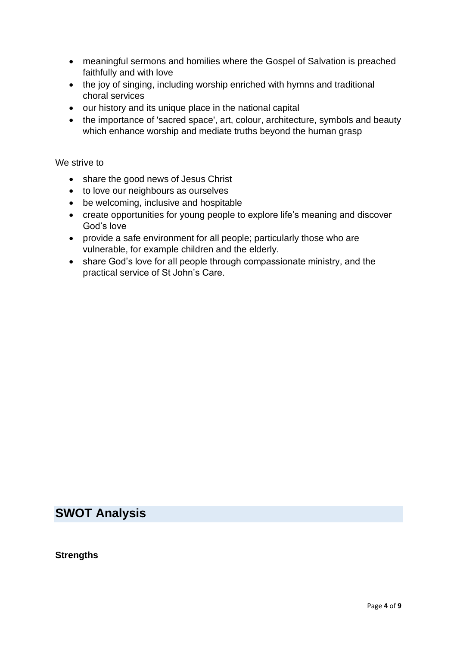- meaningful sermons and homilies where the Gospel of Salvation is preached faithfully and with love
- the joy of singing, including worship enriched with hymns and traditional choral services
- our history and its unique place in the national capital
- the importance of 'sacred space', art, colour, architecture, symbols and beauty which enhance worship and mediate truths beyond the human grasp

#### We strive to

- share the good news of Jesus Christ
- to love our neighbours as ourselves
- be welcoming, inclusive and hospitable
- create opportunities for young people to explore life's meaning and discover God's love
- provide a safe environment for all people; particularly those who are vulnerable, for example children and the elderly.
- share God's love for all people through compassionate ministry, and the practical service of St John's Care.

## **SWOT Analysis**

**Strengths**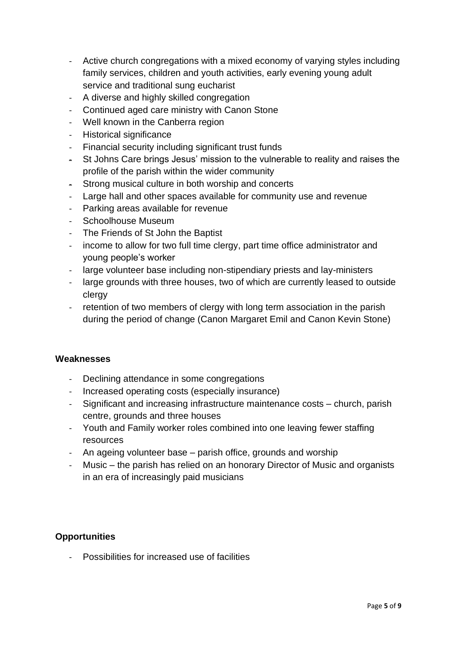- Active church congregations with a mixed economy of varying styles including family services, children and youth activities, early evening young adult service and traditional sung eucharist
- A diverse and highly skilled congregation
- Continued aged care ministry with Canon Stone
- Well known in the Canberra region
- Historical significance
- Financial security including significant trust funds
- St Johns Care brings Jesus' mission to the vulnerable to reality and raises the profile of the parish within the wider community
- Strong musical culture in both worship and concerts
- Large hall and other spaces available for community use and revenue
- Parking areas available for revenue
- Schoolhouse Museum
- The Friends of St John the Baptist
- income to allow for two full time clergy, part time office administrator and young people's worker
- large volunteer base including non-stipendiary priests and lay-ministers
- large grounds with three houses, two of which are currently leased to outside clergy
- retention of two members of clergy with long term association in the parish during the period of change (Canon Margaret Emil and Canon Kevin Stone)

## **Weaknesses**

- Declining attendance in some congregations
- Increased operating costs (especially insurance)
- Significant and increasing infrastructure maintenance costs church, parish centre, grounds and three houses
- Youth and Family worker roles combined into one leaving fewer staffing resources
- An ageing volunteer base parish office, grounds and worship
- Music the parish has relied on an honorary Director of Music and organists in an era of increasingly paid musicians

## **Opportunities**

- Possibilities for increased use of facilities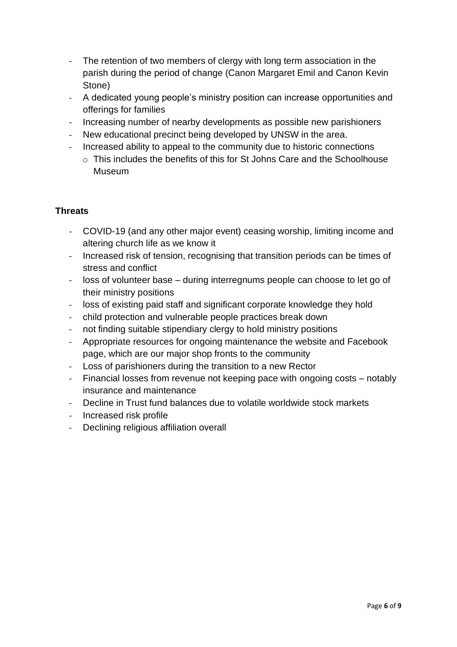- The retention of two members of clergy with long term association in the parish during the period of change (Canon Margaret Emil and Canon Kevin Stone)
- A dedicated young people's ministry position can increase opportunities and offerings for families
- Increasing number of nearby developments as possible new parishioners
- New educational precinct being developed by UNSW in the area.
- Increased ability to appeal to the community due to historic connections
	- o This includes the benefits of this for St Johns Care and the Schoolhouse Museum

## **Threats**

- COVID-19 (and any other major event) ceasing worship, limiting income and altering church life as we know it
- Increased risk of tension, recognising that transition periods can be times of stress and conflict
- loss of volunteer base during interregnums people can choose to let go of their ministry positions
- loss of existing paid staff and significant corporate knowledge they hold
- child protection and vulnerable people practices break down
- not finding suitable stipendiary clergy to hold ministry positions
- Appropriate resources for ongoing maintenance the website and Facebook page, which are our major shop fronts to the community
- Loss of parishioners during the transition to a new Rector
- Financial losses from revenue not keeping pace with ongoing costs notably insurance and maintenance
- Decline in Trust fund balances due to volatile worldwide stock markets
- Increased risk profile
- Declining religious affiliation overall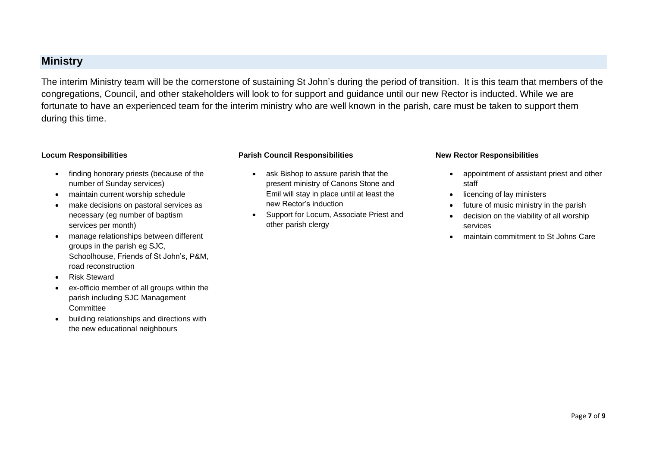## **Ministry**

The interim Ministry team will be the cornerstone of sustaining St John's during the period of transition. It is this team that members of the congregations, Council, and other stakeholders will look to for support and guidance until our new Rector is inducted. While we are fortunate to have an experienced team for the interim ministry who are well known in the parish, care must be taken to support them during this time.

#### **Locum Responsibilities**

- finding honorary priests (because of the number of Sunday services)
- maintain current worship schedule
- make decisions on pastoral services as necessary (eg number of baptism services per month)
- manage relationships between different groups in the parish eg SJC, Schoolhouse, Friends of St John's, P&M, road reconstruction
- Risk Steward
- ex-officio member of all groups within the parish including SJC Management **Committee**
- building relationships and directions with the new educational neighbours

#### **Parish Council Responsibilities**

- ask Bishop to assure parish that the present ministry of Canons Stone and Emil will stay in place until at least the new Rector's induction
- Support for Locum, Associate Priest and other parish clergy

#### **New Rector Responsibilities**

- appointment of assistant priest and other staff
- licencing of lay ministers
- future of music ministry in the parish
- decision on the viability of all worship services
- maintain commitment to St Johns Care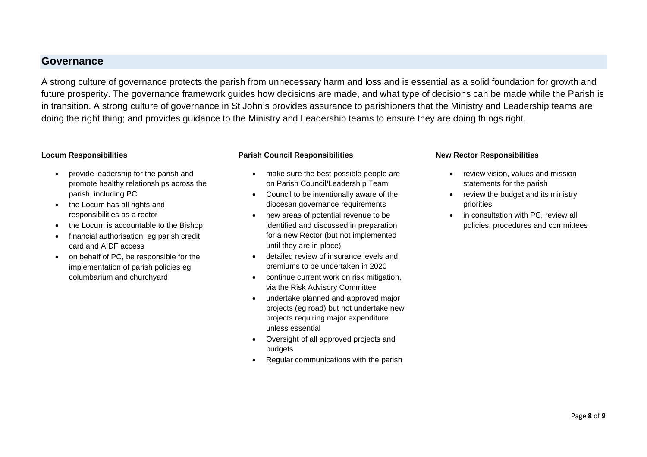## **Governance**

A strong culture of governance protects the parish from unnecessary harm and loss and is essential as a solid foundation for growth and future prosperity. The governance framework guides how decisions are made, and what type of decisions can be made while the Parish is in transition. A strong culture of governance in St John's provides assurance to parishioners that the Ministry and Leadership teams are doing the right thing; and provides guidance to the Ministry and Leadership teams to ensure they are doing things right.

#### **Locum Responsibilities**

- provide leadership for the parish and promote healthy relationships across the parish, including PC
- the Locum has all rights and responsibilities as a rector
- the Locum is accountable to the Bishop
- financial authorisation, eg parish credit card and AIDF access
- on behalf of PC, be responsible for the implementation of parish policies eg columbarium and churchyard

#### **Parish Council Responsibilities**

- make sure the best possible people are on Parish Council/Leadership Team
- Council to be intentionally aware of the diocesan governance requirements
- new areas of potential revenue to be identified and discussed in preparation for a new Rector (but not implemented until they are in place)
- detailed review of insurance levels and premiums to be undertaken in 2020
- continue current work on risk mitigation, via the Risk Advisory Committee
- undertake planned and approved major projects (eg road) but not undertake new projects requiring major expenditure unless essential
- Oversight of all approved projects and budgets
- Regular communications with the parish

#### **New Rector Responsibilities**

- review vision, values and mission statements for the parish
- review the budget and its ministry priorities
- in consultation with PC, review all policies, procedures and committees